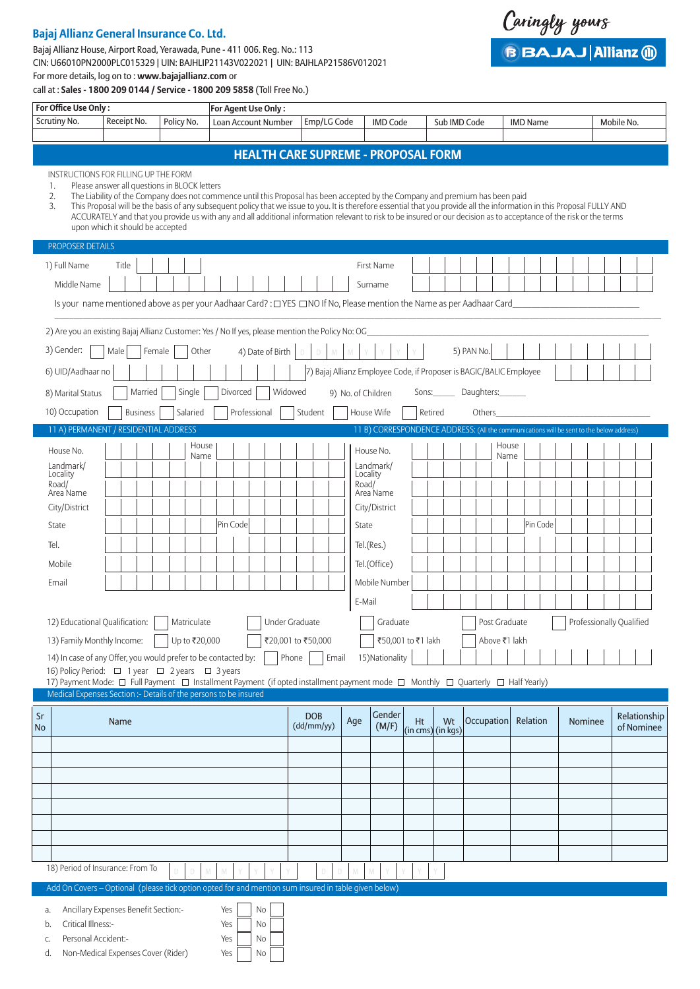# **Bajaj Allianz General Insurance Co. Ltd.**

# Bajaj Allianz House, Airport Road, Yerawada, Pune - 411 006. Reg. No.: 113 CIN: U66010PN2000PLC015329 | UIN: BAJHLIP21143V022021 | UIN: BAJHLAP21586V012021 For more details, log on to : **www.bajajallianz.com** or

Caringly yours **BBAJAJ Allianz @** 

call at : **Sales - 1800 209 0144 / Service - 1800 209 5858** (Toll Free No.)

| For Office Use Only:                                                                                                           |                                                                                                                                                                                                                                                                                                                                                                                                                                                                                                                                                                      |               | For Agent Use Only: |                            |                                                                     |                    |                    |         |                        |            |       |                                                                                          |         |                            |  |
|--------------------------------------------------------------------------------------------------------------------------------|----------------------------------------------------------------------------------------------------------------------------------------------------------------------------------------------------------------------------------------------------------------------------------------------------------------------------------------------------------------------------------------------------------------------------------------------------------------------------------------------------------------------------------------------------------------------|---------------|---------------------|----------------------------|---------------------------------------------------------------------|--------------------|--------------------|---------|------------------------|------------|-------|------------------------------------------------------------------------------------------|---------|----------------------------|--|
| Scrutiny No.                                                                                                                   | Receipt No.                                                                                                                                                                                                                                                                                                                                                                                                                                                                                                                                                          | Policy No.    |                     | <b>Loan Account Number</b> | Emp/LG Code                                                         |                    | <b>IMD Code</b>    |         | Sub IMD Code           |            |       | <b>IMD Name</b>                                                                          |         | Mobile No.                 |  |
|                                                                                                                                |                                                                                                                                                                                                                                                                                                                                                                                                                                                                                                                                                                      |               |                     |                            |                                                                     |                    |                    |         |                        |            |       |                                                                                          |         |                            |  |
|                                                                                                                                |                                                                                                                                                                                                                                                                                                                                                                                                                                                                                                                                                                      |               |                     |                            | <b>HEALTH CARE SUPREME - PROPOSAL FORM</b>                          |                    |                    |         |                        |            |       |                                                                                          |         |                            |  |
| INSTRUCTIONS FOR FILLING UP THE FORM<br>1.<br>2.<br>3.                                                                         | Please answer all questions in BLOCK letters<br>The Liability of the Company does not commence until this Proposal has been accepted by the Company and premium has been paid<br>This Proposal will be the basis of any subsequent policy that we issue to you. It is therefore essential that you provide all the information in this Proposal FULLY AND<br>ACCURATELY and that you provide us with any and all additional information relevant to risk to be insured or our decision as to acceptance of the risk or the terms<br>upon which it should be accepted |               |                     |                            |                                                                     |                    |                    |         |                        |            |       |                                                                                          |         |                            |  |
| <b>PROPOSER DETAILS</b>                                                                                                        |                                                                                                                                                                                                                                                                                                                                                                                                                                                                                                                                                                      |               |                     |                            |                                                                     |                    |                    |         |                        |            |       |                                                                                          |         |                            |  |
| 1) Full Name                                                                                                                   | Title                                                                                                                                                                                                                                                                                                                                                                                                                                                                                                                                                                |               |                     |                            |                                                                     |                    | First Name         |         |                        |            |       |                                                                                          |         |                            |  |
| Middle Name                                                                                                                    |                                                                                                                                                                                                                                                                                                                                                                                                                                                                                                                                                                      |               |                     |                            |                                                                     |                    | Surname            |         |                        |            |       |                                                                                          |         |                            |  |
|                                                                                                                                | Is your name mentioned above as per your Aadhaar Card?: [TYES [TINO If No, Please mention the Name as per Aadhaar Card                                                                                                                                                                                                                                                                                                                                                                                                                                               |               |                     |                            |                                                                     |                    |                    |         |                        |            |       |                                                                                          |         |                            |  |
| 2) Are you an existing Bajaj Allianz Customer: Yes / No If yes, please mention the Policy No: OG                               |                                                                                                                                                                                                                                                                                                                                                                                                                                                                                                                                                                      |               |                     |                            |                                                                     |                    |                    |         |                        |            |       |                                                                                          |         |                            |  |
| 3) Gender:                                                                                                                     | Male                                                                                                                                                                                                                                                                                                                                                                                                                                                                                                                                                                 | Female        | Other               | 4) Date of Birth           | $\mathbb{D}^{\mathbb{Z}}$<br>M<br>$\mathbb D$                       |                    |                    |         |                        | 5) PAN No. |       |                                                                                          |         |                            |  |
| 6) UID/Aadhaar no                                                                                                              |                                                                                                                                                                                                                                                                                                                                                                                                                                                                                                                                                                      |               |                     |                            | 7) Bajaj Allianz Employee Code, if Proposer is BAGIC/BALIC Employee |                    |                    |         |                        |            |       |                                                                                          |         |                            |  |
| 8) Marital Status                                                                                                              | Married                                                                                                                                                                                                                                                                                                                                                                                                                                                                                                                                                              | Single        | Divorced            | Widowed                    |                                                                     | 9) No. of Children |                    |         | Sons: Daughters:       |            |       |                                                                                          |         |                            |  |
| 10) Occupation                                                                                                                 | <b>Business</b>                                                                                                                                                                                                                                                                                                                                                                                                                                                                                                                                                      | Salaried      |                     | Professional               | Student                                                             |                    | House Wife         | Retired |                        | Others     |       |                                                                                          |         |                            |  |
| 11 A) PERMANENT / RESIDENTIAL ADDRESS                                                                                          |                                                                                                                                                                                                                                                                                                                                                                                                                                                                                                                                                                      |               |                     |                            |                                                                     |                    |                    |         |                        |            |       | 11 B) CORRESPONDENCE ADDRESS: (All the communications will be sent to the below address) |         |                            |  |
| House No.                                                                                                                      |                                                                                                                                                                                                                                                                                                                                                                                                                                                                                                                                                                      |               | House               |                            |                                                                     |                    | House No.          |         |                        |            | House |                                                                                          |         |                            |  |
| Landmark/                                                                                                                      |                                                                                                                                                                                                                                                                                                                                                                                                                                                                                                                                                                      |               | Name                |                            |                                                                     |                    | Landmark/          |         |                        |            | Name  |                                                                                          |         |                            |  |
| Locality<br>Road/                                                                                                              |                                                                                                                                                                                                                                                                                                                                                                                                                                                                                                                                                                      |               |                     |                            |                                                                     | Locality<br>Road/  |                    |         |                        |            |       |                                                                                          |         |                            |  |
| Area Name                                                                                                                      |                                                                                                                                                                                                                                                                                                                                                                                                                                                                                                                                                                      |               |                     |                            |                                                                     |                    | Area Name          |         |                        |            |       |                                                                                          |         |                            |  |
| City/District                                                                                                                  |                                                                                                                                                                                                                                                                                                                                                                                                                                                                                                                                                                      |               |                     |                            |                                                                     |                    | City/District      |         |                        |            |       |                                                                                          |         |                            |  |
| State                                                                                                                          |                                                                                                                                                                                                                                                                                                                                                                                                                                                                                                                                                                      |               | Pin Code            |                            |                                                                     | State              |                    |         |                        |            |       | Pin Code                                                                                 |         |                            |  |
| Tel.                                                                                                                           |                                                                                                                                                                                                                                                                                                                                                                                                                                                                                                                                                                      |               |                     |                            |                                                                     |                    | Tel.(Res.)         |         |                        |            |       |                                                                                          |         |                            |  |
| Mobile                                                                                                                         |                                                                                                                                                                                                                                                                                                                                                                                                                                                                                                                                                                      |               |                     |                            |                                                                     |                    | Tel.(Office)       |         |                        |            |       |                                                                                          |         |                            |  |
| Email                                                                                                                          |                                                                                                                                                                                                                                                                                                                                                                                                                                                                                                                                                                      |               |                     |                            |                                                                     |                    | Mobile Number      |         |                        |            |       |                                                                                          |         |                            |  |
|                                                                                                                                |                                                                                                                                                                                                                                                                                                                                                                                                                                                                                                                                                                      |               |                     |                            |                                                                     | E-Mail             |                    |         |                        |            |       |                                                                                          |         |                            |  |
| 12) Educational Qualification:                                                                                                 |                                                                                                                                                                                                                                                                                                                                                                                                                                                                                                                                                                      | Matriculate   |                     | <b>Under Graduate</b>      |                                                                     |                    | Graduate           |         |                        |            |       | Post Graduate                                                                            |         | Professionally Qualified   |  |
| 13) Family Monthly Income:                                                                                                     |                                                                                                                                                                                                                                                                                                                                                                                                                                                                                                                                                                      | Up to ₹20,000 |                     |                            | ₹20,001 to ₹50,000                                                  |                    | ₹50,001 to ₹1 lakh |         |                        |            |       | Above ₹1 lakh                                                                            |         |                            |  |
| 14) In case of any Offer, you would prefer to be contacted by:<br>16) Policy Period: □ 1 year □ 2 years □ 3 years              |                                                                                                                                                                                                                                                                                                                                                                                                                                                                                                                                                                      |               |                     | Phone $\vert$              | Email                                                               |                    | 15) Nationality    |         |                        |            |       |                                                                                          |         |                            |  |
| 17) Payment Mode: □ Full Payment □ Installment Payment (if opted installment payment mode □ Monthly □ Quarterly □ Half Yearly) |                                                                                                                                                                                                                                                                                                                                                                                                                                                                                                                                                                      |               |                     |                            |                                                                     |                    |                    |         |                        |            |       |                                                                                          |         |                            |  |
| Medical Expenses Section :- Details of the persons to be insured                                                               |                                                                                                                                                                                                                                                                                                                                                                                                                                                                                                                                                                      |               |                     |                            |                                                                     |                    |                    |         |                        |            |       |                                                                                          |         |                            |  |
| Sr<br><b>No</b>                                                                                                                | Name                                                                                                                                                                                                                                                                                                                                                                                                                                                                                                                                                                 |               |                     |                            | <b>DOB</b><br>(dd/mm/yy)                                            | Age                | Gender<br>(M/F)    | Ht      | Wt<br>(in cms)(in kqs) | Occupation |       | Relation                                                                                 | Nominee | Relationship<br>of Nominee |  |
|                                                                                                                                |                                                                                                                                                                                                                                                                                                                                                                                                                                                                                                                                                                      |               |                     |                            |                                                                     |                    |                    |         |                        |            |       |                                                                                          |         |                            |  |
|                                                                                                                                |                                                                                                                                                                                                                                                                                                                                                                                                                                                                                                                                                                      |               |                     |                            |                                                                     |                    |                    |         |                        |            |       |                                                                                          |         |                            |  |
|                                                                                                                                |                                                                                                                                                                                                                                                                                                                                                                                                                                                                                                                                                                      |               |                     |                            |                                                                     |                    |                    |         |                        |            |       |                                                                                          |         |                            |  |
|                                                                                                                                |                                                                                                                                                                                                                                                                                                                                                                                                                                                                                                                                                                      |               |                     |                            |                                                                     |                    |                    |         |                        |            |       |                                                                                          |         |                            |  |
|                                                                                                                                |                                                                                                                                                                                                                                                                                                                                                                                                                                                                                                                                                                      |               |                     |                            |                                                                     |                    |                    |         |                        |            |       |                                                                                          |         |                            |  |
|                                                                                                                                |                                                                                                                                                                                                                                                                                                                                                                                                                                                                                                                                                                      |               |                     |                            |                                                                     |                    |                    |         |                        |            |       |                                                                                          |         |                            |  |
| 18) Period of Insurance: From To                                                                                               |                                                                                                                                                                                                                                                                                                                                                                                                                                                                                                                                                                      |               |                     |                            |                                                                     |                    |                    |         |                        |            |       |                                                                                          |         |                            |  |
| Add On Covers - Optional (please tick option opted for and mention sum insured in table given below)                           |                                                                                                                                                                                                                                                                                                                                                                                                                                                                                                                                                                      |               |                     |                            |                                                                     |                    |                    |         |                        |            |       |                                                                                          |         |                            |  |
|                                                                                                                                |                                                                                                                                                                                                                                                                                                                                                                                                                                                                                                                                                                      |               |                     |                            |                                                                     |                    |                    |         |                        |            |       |                                                                                          |         |                            |  |
| a.<br>Critical Illness:-<br>b.                                                                                                 | Ancillary Expenses Benefit Section:-                                                                                                                                                                                                                                                                                                                                                                                                                                                                                                                                 |               | Yes<br>Yes          | No<br>No                   |                                                                     |                    |                    |         |                        |            |       |                                                                                          |         |                            |  |
| Personal Accident:-<br>C.                                                                                                      |                                                                                                                                                                                                                                                                                                                                                                                                                                                                                                                                                                      |               | Yes                 | No                         |                                                                     |                    |                    |         |                        |            |       |                                                                                          |         |                            |  |

d. Non-Medical Expenses Cover (Rider) Yes  $\Box$  No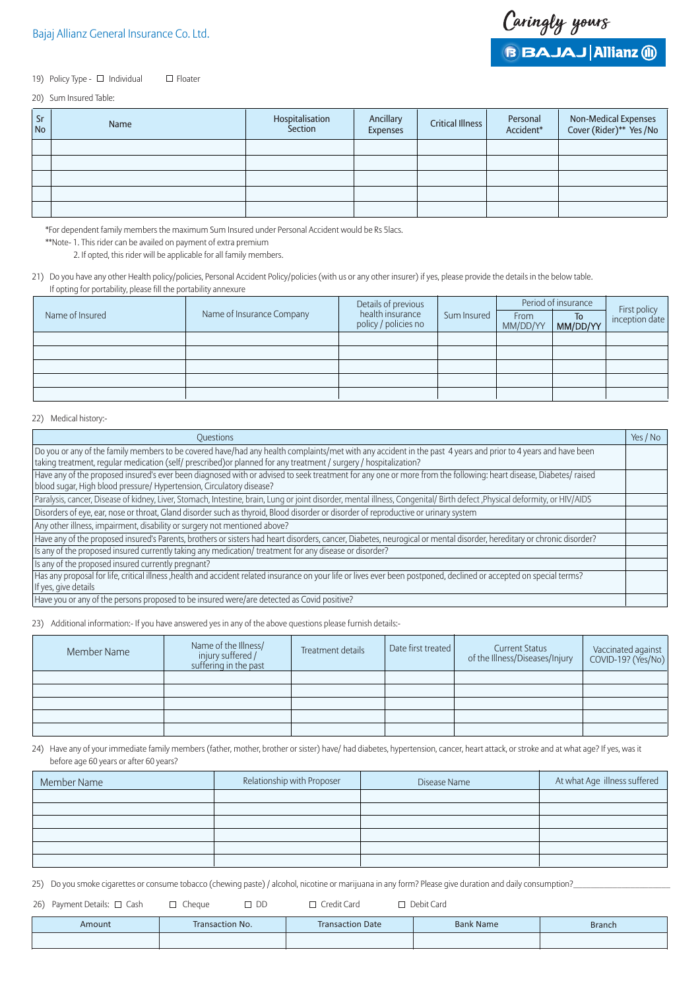## 19) Policy Type - □ Individual □ Floater

### 20) Sum Insured Table:

| Sr<br><b>No</b> | Name | Hospitalisation<br>Section | Ancillary<br>Expenses | <b>Critical Illness</b> | Personal<br>Accident* | Non-Medical Expenses<br>Cover (Rider)** Yes /No |
|-----------------|------|----------------------------|-----------------------|-------------------------|-----------------------|-------------------------------------------------|
|                 |      |                            |                       |                         |                       |                                                 |
|                 |      |                            |                       |                         |                       |                                                 |
|                 |      |                            |                       |                         |                       |                                                 |
|                 |      |                            |                       |                         |                       |                                                 |
|                 |      |                            |                       |                         |                       |                                                 |

\*For dependent family members the maximum Sum Insured under Personal Accident would be Rs 5lacs.

\*\*Note- 1. This rider can be availed on payment of extra premium

2. If opted, this rider will be applicable for all family members.

21) Do you have any other Health policy/policies, Personal Accident Policy/policies (with us or any other insurer) if yes, please provide the details in the below table. If opting for portability, please fill the portability annexure

|                 |                           | Details of previous<br>health insurance |             | Period of insurance | First policy   |                |  |
|-----------------|---------------------------|-----------------------------------------|-------------|---------------------|----------------|----------------|--|
| Name of Insured | Name of Insurance Company | policy / policies no                    | Sum Insured | From<br>MM/DD/YY    | To<br>MM/DD/YY | inception date |  |
|                 |                           |                                         |             |                     |                |                |  |
|                 |                           |                                         |             |                     |                |                |  |
|                 |                           |                                         |             |                     |                |                |  |
|                 |                           |                                         |             |                     |                |                |  |
|                 |                           |                                         |             |                     |                |                |  |

## 22) Medical history:-

| Questions                                                                                                                                                                                                                                                                          | Yes / No |
|------------------------------------------------------------------------------------------------------------------------------------------------------------------------------------------------------------------------------------------------------------------------------------|----------|
| Do you or any of the family members to be covered have/had any health complaints/met with any accident in the past 4 years and prior to 4 years and have been<br>taking treatment, regular medication (self/ prescribed) or planned for any treatment / surgery / hospitalization? |          |
| Have any of the proposed insured's ever been diagnosed with or advised to seek treatment for any one or more from the following: heart disease, Diabetes/ raised<br>blood sugar, High blood pressure/ Hypertension, Circulatory disease?                                           |          |
| Paralysis, cancer, Disease of kidney, Liver, Stomach, Intestine, brain, Lung or joint disorder, mental illness, Congenital/ Birth defect, Physical deformity, or HIV/AIDS                                                                                                          |          |
| Disorders of eye, ear, nose or throat, Gland disorder such as thyroid, Blood disorder or disorder of reproductive or urinary system                                                                                                                                                |          |
| Any other illness, impairment, disability or surgery not mentioned above?                                                                                                                                                                                                          |          |
| Have any of the proposed insured's Parents, brothers or sisters had heart disorders, cancer, Diabetes, neurogical or mental disorder, hereditary or chronic disorder?                                                                                                              |          |
| Is any of the proposed insured currently taking any medication/ treatment for any disease or disorder?                                                                                                                                                                             |          |
| Is any of the proposed insured currently pregnant?                                                                                                                                                                                                                                 |          |
| Has any proposal for life, critical illness , health and accident related insurance on your life or lives ever been postponed, declined or accepted on special terms?<br>If yes, give details                                                                                      |          |
| Have you or any of the persons proposed to be insured were/are detected as Covid positive?                                                                                                                                                                                         |          |

23) Additional information:- If you have answered yes in any of the above questions please furnish details:-

| Member Name | Name of the Illness/<br>injury suffered /<br>suffering in the past | Treatment details | Date first treated | <b>Current Status</b><br>of the Illness/Diseases/Injury | Vaccinated against<br>COVID-19? (Yes/No) |
|-------------|--------------------------------------------------------------------|-------------------|--------------------|---------------------------------------------------------|------------------------------------------|
|             |                                                                    |                   |                    |                                                         |                                          |
|             |                                                                    |                   |                    |                                                         |                                          |
|             |                                                                    |                   |                    |                                                         |                                          |
|             |                                                                    |                   |                    |                                                         |                                          |
|             |                                                                    |                   |                    |                                                         |                                          |

24) Have any of your immediate family members (father, mother, brother or sister) have/ had diabetes, hypertension, cancer, heart attack, or stroke and at what age? If yes, was it before age 60 years or after 60 years?

| Member Name | Relationship with Proposer | Disease Name | At what Age illness suffered |
|-------------|----------------------------|--------------|------------------------------|
|             |                            |              |                              |
|             |                            |              |                              |
|             |                            |              |                              |
|             |                            |              |                              |
|             |                            |              |                              |
|             |                            |              |                              |

25) Do you smoke cigarettes or consume tobacco (chewing paste) / alcohol, nicotine or marijuana in any form? Please give duration and daily consumption?

26) Payment Details: Cash Cheque DD Credit Card Debit Card

| Amount | Transaction No. | <b>Transaction Date</b> | <b>Bank Name</b> | <b>Branch</b> |
|--------|-----------------|-------------------------|------------------|---------------|
|        |                 |                         |                  |               |